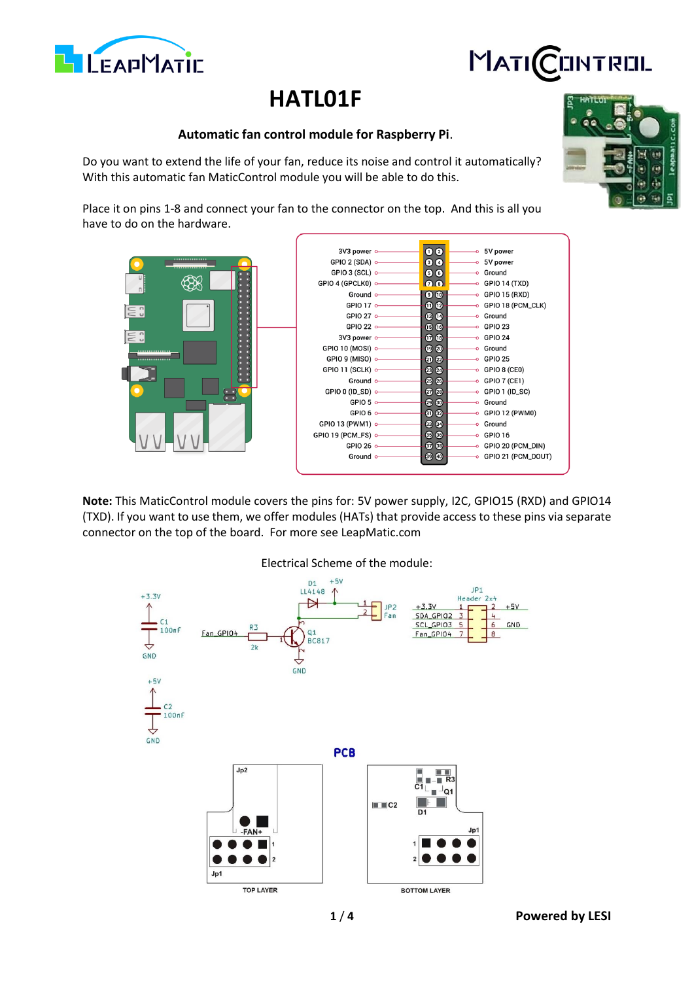**1** / **4 Powered by LESI**

# **HATL01F**

## **Automatic fan control module for Raspberry Pi**.

Do you want to extend the life of your fan, reduce its noise and control it automatically? With this automatic fan MaticControl module you will be able to do this.

Place it on pins 1-8 and connect your fan to the connector on the top. And this is all you have to do on the hardware.

3V3 power

GPIO 2 (SDA)

GPIO 3 (SCL) o

|   | GPIO 4 (GPCLK0) o      |                 | $-20$                     | -0 GPIO 14 (TXD)                      |
|---|------------------------|-----------------|---------------------------|---------------------------------------|
|   |                        | Ground o        | $\bullet$ $\bullet$       | $\longrightarrow$ GPIO 15 (RXD)       |
|   |                        | GPIO 17 $\circ$ | 0 <sup>°</sup>            | O GPIO 18 (PCM_CLK)                   |
|   | GPIO 27 o              |                 | $\mathbf{B}$ $\mathbf{C}$ | o Ground                              |
|   | GPIO 22 $\circ$        |                 | $\mathbf{G}$              | $\circ$ GPIO 23                       |
|   | 3V3 power o            |                 | $\mathbf{0}$ $\mathbf{0}$ | $-0$ GPIO 24                          |
| l | GPIO 10 (MOSI) o-      |                 | $\n  ②\n$                 | -o Ground                             |
|   | GPIO 9 (MISO) $\circ$  |                 | 22                        | $\circ$ GPIO 25                       |
|   | GPIO 11 (SCLK) o-      |                 | 23 23                     | $\overline{\phantom{a}}$ GPIO 8 (CEO) |
|   |                        | Ground o        | $250 -$                   | $\overline{\bullet}$ GPIO 7 (CE1)     |
|   | GPIO 0 (ID_SD) o-      |                 | <b>27 28 -</b>            | $\circ$ GPIO 1 (ID_SC)                |
|   |                        | GPIO 5 $\sim$   | 4960-                     | o Ground                              |
|   |                        | GPIO 6 $\circ$  | 0 <sup>0</sup>            | $\circ$ GPIO 12 (PWM0)                |
|   | GPIO 13 (PWM1) $\circ$ |                 | <b>333</b>                | -o Ground                             |
|   | GPIO 19 (PCM_FS) o-    |                 | $\circledcirc$            | $\circ$ GPIO 16                       |
|   | GPIO 26 $\circ$        |                 | $\odot$ $\odot$           | ⊸ GPIO 20 (PCM_DIN)                   |
|   | Ground o               |                 | <b>@ @-</b>               | ⊙ GPIO 21 (PCM_DOUT)                  |
|   |                        |                 |                           |                                       |

 $\begin{array}{c} \bullet & \bullet \\ \bullet & \bullet \\ \bullet & \bullet \end{array}$ 

**Note:** This MaticControl module covers the pins for: 5V power supply, I2C, GPIO15 (RXD) and GPIO14 (TXD). If you want to use them, we offer modules (HATs) that provide access to these pins via separate connector on the top of the board. For more see LeapMatic.com





**CINTREIL** 

MATI<mark>(</mark>

5V power

5V power

Ground



€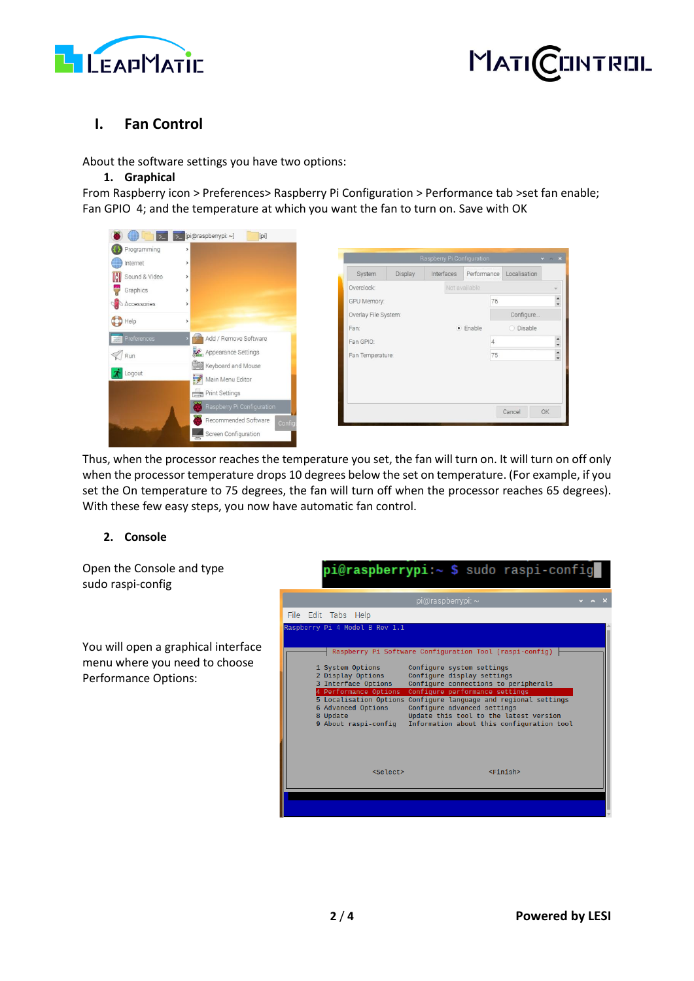



# **I. Fan Control**

About the software settings you have two options:

#### **1. Graphical**

From Raspberry icon > Preferences> Raspberry Pi Configuration > Performance tab >set fan enable; Fan GPIO 4; and the temperature at which you want the fan to turn on. Save with OK



Thus, when the processor reaches the temperature you set, the fan will turn on. It will turn on off only when the processor temperature drops 10 degrees below the set on temperature. (For example, if you set the On temperature to 75 degrees, the fan will turn off when the processor reaches 65 degrees). With these few easy steps, you now have automatic fan control.

### **2. Console**

Open the Console and type sudo raspi-config

You will open a graphical interface menu where you need to choose Performance Options:

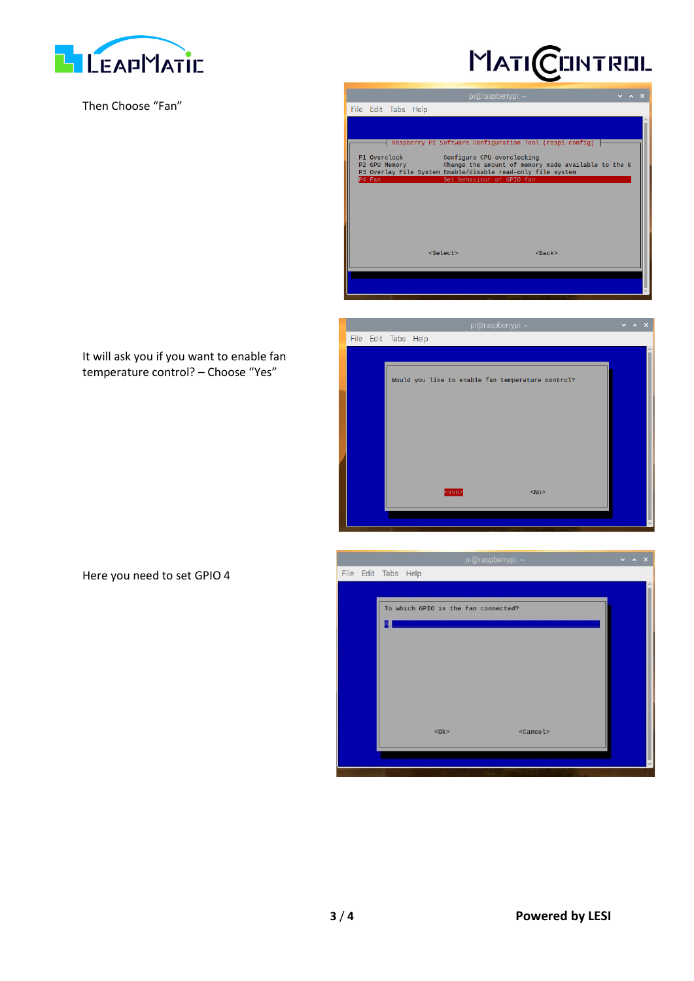

Then Choose "Fan"



| $pi(\omega)$ raspberrypi: $\sim$                                                                                   |  | $\vee$ $\wedge$ $\times$ |
|--------------------------------------------------------------------------------------------------------------------|--|--------------------------|
| File Edit Tabs Help                                                                                                |  |                          |
|                                                                                                                    |  |                          |
| Raspberry Pi Software Configuration Tool (raspi-config)                                                            |  |                          |
|                                                                                                                    |  |                          |
| P1 Overclock<br>Configure CPU overclocking<br>Change the amount of memory made available to the G<br>P2 GPU Memory |  |                          |
| P3 Overlay File System Enable/disable read-only file system<br>P4 Fan<br>Set behaviour of GPIO fan                 |  |                          |
|                                                                                                                    |  |                          |
|                                                                                                                    |  |                          |
|                                                                                                                    |  |                          |
|                                                                                                                    |  |                          |
|                                                                                                                    |  |                          |
| $<$ Select><br>$<$ Back $>$                                                                                        |  |                          |
|                                                                                                                    |  |                          |
|                                                                                                                    |  |                          |
|                                                                                                                    |  |                          |

|  | pi@raspberrypi: $\sim$ |                     |                                                      |  |  | $\vee$ $\wedge$ $\times$ |
|--|------------------------|---------------------|------------------------------------------------------|--|--|--------------------------|
|  |                        | File Edit Tabs Help |                                                      |  |  |                          |
|  |                        |                     |                                                      |  |  |                          |
|  |                        |                     |                                                      |  |  |                          |
|  |                        |                     | Would you like to enable fan temperature control?    |  |  |                          |
|  |                        |                     |                                                      |  |  |                          |
|  |                        |                     |                                                      |  |  |                          |
|  |                        |                     |                                                      |  |  |                          |
|  |                        |                     |                                                      |  |  |                          |
|  |                        |                     |                                                      |  |  |                          |
|  |                        |                     |                                                      |  |  |                          |
|  |                        |                     |                                                      |  |  |                          |
|  |                        |                     | <yes><br/><math>&lt;</math>No<math>&gt;</math></yes> |  |  |                          |
|  |                        |                     |                                                      |  |  |                          |
|  |                        |                     |                                                      |  |  |                          |
|  |                        |                     |                                                      |  |  |                          |

|                     |                                     | pi@raspberrypi: ~ | $\times$ $\times$ $\times$ |
|---------------------|-------------------------------------|-------------------|----------------------------|
| File Edit Tabs Help |                                     |                   |                            |
|                     |                                     |                   |                            |
|                     | To which GPIO is the fan connected? |                   |                            |
|                     |                                     |                   |                            |
|                     |                                     |                   |                            |
|                     |                                     |                   |                            |
|                     |                                     |                   |                            |
|                     |                                     |                   |                            |
|                     |                                     |                   |                            |
|                     |                                     |                   |                            |
|                     | $<$ Ok $>$                          | <cancel></cancel> |                            |
|                     |                                     |                   |                            |
|                     |                                     |                   |                            |

It will ask you if you want to enable fan temperature control? – Choose "Yes"

Here you need to set GPIO 4